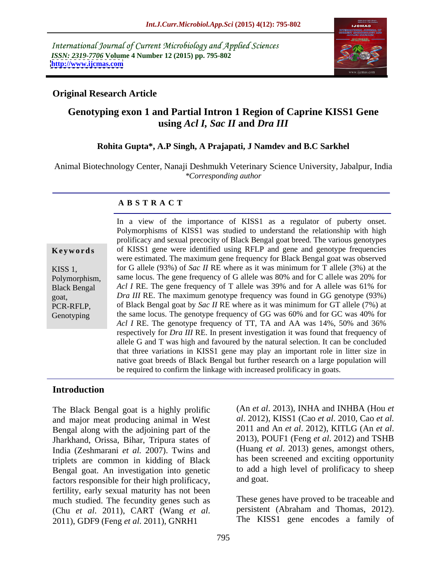International Journal of Current Microbiology and Applied Sciences *ISSN: 2319-7706* **Volume 4 Number 12 (2015) pp. 795-802 <http://www.ijcmas.com>**



## **Original Research Article**

# **Genotyping exon 1 and Partial Intron 1 Region of Caprine KISS1 Gene using** *Acl I, Sac II* **and** *Dra III*

### **Rohita Gupta\*, A.P Singh, A Prajapati, J Namdev and B.C Sarkhel**

Animal Biotechnology Center, Nanaji Deshmukh Veterinary Science University, Jabalpur, India *\*Corresponding author*

### **A B S T R A C T**

**Genotyping** 

In a view of the importance of KISS1 as a regulator of puberty onset. Polymorphisms of KISS1 was studied to understand the relationship with high prolificacy and sexual precocity of Black Bengal goat breed. The various genotypes **Keywords** of KISS1 gene were identified using RFLP and gene and genotype frequencies were estimated. The maximum gene frequency for Black Bengal goat was observed KISS 1, for G allele (93%) of *Sac II* RE where as it was minimum for T allele (3%) at the Polymorphism, same locus. The gene frequency of G allele was 80% and for C allele was 20% for Black Bengal Acl *I* RE. The gene frequency of T allele was 39% and for A allele was 61% for goat, *Dra III* RE. The maximum genotype frequency was found in GG genotype (93%) PCR-RFLP, of Black Bengal goat by *Sac II* RE where as it was minimum for GT allele (7%) at the same locus. The genotype frequency of GG was 60% and for GC was 40% for Acl *I* RE. The genotype frequency of TT, TA and AA was 14%, 50% and 36% respectively for *Dra III* RE. In present investigation it was found that frequency of allele G and T was high and favoured by the natural selection. It can be concluded that three variations in KISS1 gene may play an important role in litter size in native goat breeds of Black Bengal but further research on a large population will be required to confirm the linkage with increased prolificacy in goats.

### **Introduction**

The Black Bengal goat is a highly prolific and major meat producing animal in West al. 2012), KISS1 (Cao et al. 2010, Cao et al.<br>Rengal along with the adioining part of the 2011 and An et al. 2012), KITLG (An et al. Bengal along with the adjoining part of the 2011 and An *et al.* 2012), KITLG (An *et al.* Ibarkhand Orissa Bihar Tripura states of 2013), POUF1 (Feng *et al.* 2012) and TSHB Jharkhand, Orissa, Bihar, Tripura states of India (Zeshmarani *et al.* 2007). Twins and triplets are common in kidding of Black Bengal goat. An investigation into genetic to add a<br>factors responsible for their high prolificacy and goat. factors responsible for their high prolificacy, fertility, early sexual maturity has not been much studied. The fecundity genes such as (Chu *et al.* 2011), CART (Wang *et al.* persistent (Abraham and Thomas, 2012).<br>2011), GDF9 (Feng *et al.* 2011), GNRH1 The KISS1 gene encodes a family of

(An *et al*. 2013), INHA and INHBA (Hou *et al*. 2012), KISS1 (Cao *et al*. 2010, Cao *et al.* <sup>2011</sup> and An *et al*. 2012), KITLG (An *et al*. 2013), POUF1 (Feng *et al*. 2012) and TSHB (Huang *et al*. 2013) genes, amongst others, has been screened and exciting opportunity to add a high level of prolificacy to sheep and goat.

These genes have proved to be traceable and persistent (Abraham and Thomas, 2012). The KISS1 gene encodes a family of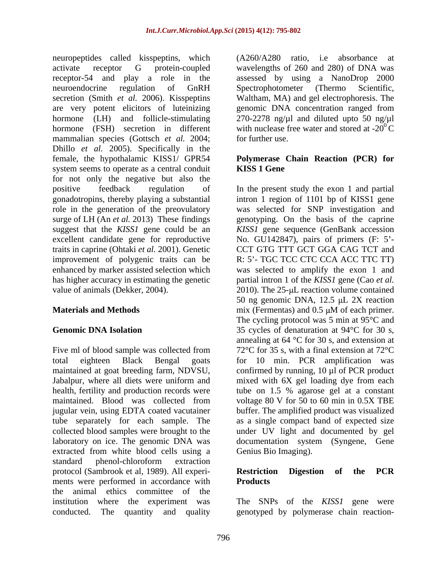neuropeptides called kisspeptins, which activate receptor G protein-coupled wavelengths of 260 and 280) of DNA was receptor-54 and play a role in the assessed by using a NanoDrop 2000 neuroendocrine regulation of GnRH secretion (Smith *et al.* 2006). Kisspeptins Waltham, MA) and gel electrophoresis. The are very potent elicitors of luteinizing hormone (LH) and follicle-stimulating 270-2278 ng/µl and diluted upto 50 ng/µl hormone (FSH) secretion in different mammalian species (Gottsch *et al.* 2004; for further use. Dhillo *et al.* 2005). Specifically in the female, the hypothalamic KISS1/ GPR54 **Polymerase Chain Reaction (PCR) for** system seems to operate as a central conduit **KISS 1 Gene** for not only the negative but also the positive feedback regulation of In the present study the exon 1 and partial gonadotropins, thereby playing a substantial intron 1 region of 1101 bp of KISS1 gene role in the generation of the preovulatory was selected for SNP investigation and surge of LH (An *et al.* 2013) These findings genotyping. On the basis of the caprine suggest that the *KISS1* gene could be an *KISS1* gene sequence (GenBank accession excellent candidate gene for reproductive Mo. GU142847), pairs of primers (F: 5'traits in caprine (Ohtaki *et al.* 2001). Genetic improvement of polygenic traits can be enhanced by marker assisted selection which was selected to amplify the exon 1 and has higher accuracy in estimating the genetic partial intron 1 of the *KISS1* gene (Cao *et al.*

tube separately for each sample. The extracted from white blood cells using a standard phenol-chloroform extraction protocol (Sambrook et al, 1989). All experi-<br>Restriction Digestion of the PCR ments were performed in accordance with **Products** the animal ethics committee of the institution where the experiment was The SNPs of the *KISS1* gene were

(A260/A280 ratio, i.e absorbance at Spectrophotometer (Thermo Scientific, genomic DNA concentration ranged from with nuclease free water and stored at  $-20^{\circ}$ C for further use.

# **KISS 1 Gene**

value of animals (Dekker, 2004). 2010). The 25-µL reaction volume contained **Materials and Methods** mix (Fermentas) and 0.5 µM of each primer. Genomic DNA Isolation 35 cycles of denaturation at 94<sup>o</sup>C for 30 s, Five ml of blood sample was collected from  $72^{\circ}$ C for 35 s, with a final extension at 72<sup>o</sup>C total eighteen Black Bengal goats for 10 min. PCR amplification was maintained at goat breeding farm, NDVSU, confirmed by running, 10 µl of PCR product Jabalpur, where all diets were uniform and mixed with 6X gel loading dye from each health, fertility and production records were tube on 1.5 % agarose gel at a constant maintained. Blood was collected from voltage 80 V for 50 to 60 min in 0.5X TBE jugular vein, using EDTA coated vacutainer buffer. The amplified product was visualized collected blood samples were brought to the under UV light and documented by gel laboratory on ice. The genomic DNA was documentation system (Syngene, Gene CCT GTG TTT GCT GGA CAG TCT and R: 5'- TGC TCC CTC CCA ACC TTC TT) 50 ng genomic DNA,  $12.5 \mu L$  2X reaction mix (Fermentas) and  $0.5 \mu M$  of each primer. The cycling protocol was 5 min at 95°C and annealing at  $64 \text{ °C}$  for 30 s, and extension at as a single compact band of expected size Genius Bio Imaging).

### **Restriction Digestion of the PCR Products**

conducted. The quantity and quality genotyped by polymerase chain reaction-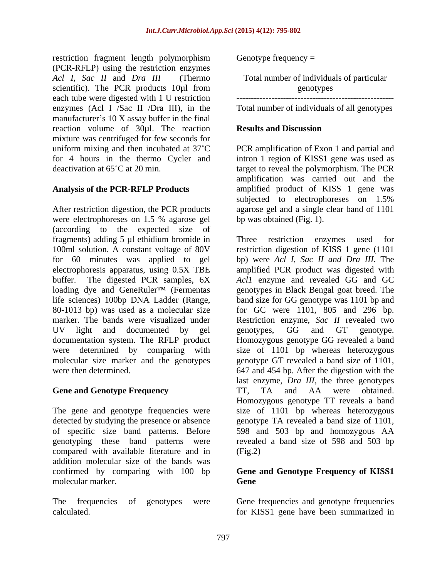restriction fragment length polymorphism (PCR-RFLP) using the restriction enzymes *Acl I, Sac II* and *Dra III* (Thermo Total number of individuals of particular scientific). The PCR products 10µl from genotypes each tube were digested with 1 U restriction enzymes (Acl I /Sac II /Dra III), in the manufacturer's  $10 \text{ X}$  assay buffer in the final reaction volume of 30µl. The reaction **Results and Discussion** mixture was centrifuged for few seconds for

After restriction digestion, the PCR products agarose gel and a single clear band of 1101 were electrophoreses on 1.5 % agarose gel bp was obtained (Fig. 1). (according to the expected size of fragments) adding 5 µl ethidium bromide in Three restriction enzymes used for 100ml solution. A constant voltage of 80V restriction digestion of KISS 1 gene (1101 for 60 minutes was applied to gel bp) were *Acl I, Sac II and Dra III*. The electrophoresis apparatus, using 0.5X TBE amplified PCR product was digested with buffer. The digested PCR samples, 6X *Acl1* enzyme and revealed GG and GC loading dye and GeneRuler<sup>TM</sup> (Fermentas life sciences) 100bp DNA Ladder (Range, band size for GG genotype was 1101 bp and 80-1013 bp) was used as a molecular size for GC were 1101, 805 and 296 bp. marker. The bands were visualized under Restriction enzyme, *Sac II* revealed two UV light and documented by gel senotypes, GG and GT genotype. documentation system. The RFLP product were determined by comparing with size of 1101 bp whereas heterozygous molecular size marker and the genotypes genotype GT revealed a band size of 1101, were then determined. **647** and 454 bp. After the digestion with the

The gene and genotype frequencies were detected by studying the presence or absence compared with available literature and in addition molecular size of the bands was confirmed by comparing with 100 bp **Geneand Genotype Frequency of KISS1** molecular marker.

The frequencies of genotypes were Gene frequencies and genotype frequencies calculated. for KISS1 gene have been summarized in

Genotype frequency  $=$ 

genotypes ------------------------------------------------------

Total number of individuals of all genotypes

# **Results and Discussion**

uniform mixing and then incubated at 37<sup>°</sup>C PCR amplification of Exon 1 and partial and for 4 hours in the thermo Cycler and intron 1 region of KISS1 gene was used as deactivation at 65 C at 20 min. target to reveal the polymorphism. The PCR Analysis of the PCR-RFLP Products amplified product of KISS 1 gene was amplification was carried out and the subjected to electrophoreses on 1.5% bp was obtained (Fig. 1).

**Gene and Genotype Frequency TT, TA** and AA were obtained. of specific size band patterns. Before 598 and 503 bp and homozygous AA genotyping these band patterns were revealed a band size of 598 and 503 bp Three restriction enzymes used for genotypes in Black Bengal goat breed. The genotypes, GG and GT genotype. Homozygous genotype GG revealed a band last enzyme, *Dra III*, the three genotypes TT, TA and AA were obtained. Homozygous genotype TT reveals a band size of 1101 bp whereas heterozygous genotype TA revealed a band size of 1101,  $(Fig.2)$ 

# **Gene**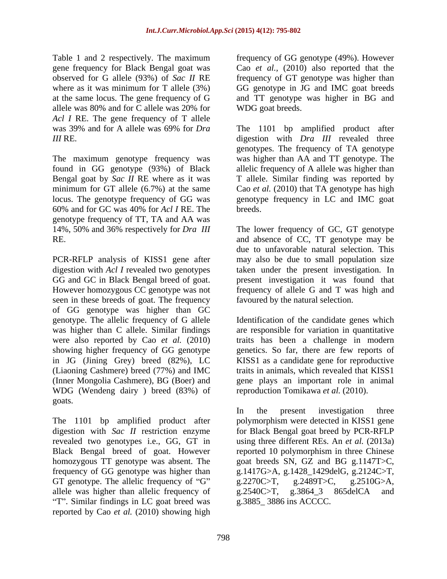Table 1 and 2 respectively. The maximum *Acl I* RE. The gene frequency of T allele

The maximum genotype frequency was 60% and for GC was 40% for *Acl I* RE. The genotype frequency of TT, TA and AA was 14%, 50% and 36% respectively for *Dra III*

GG and GC in Black Bengal breed of goat. seen in these breeds of goat. The frequency of GG genotype was higher than GC genotype. The allelic frequency of G allele Identification of the candidate genes which was higher than C allele. Similar findings are responsible for variation in quantitative were also reported by Cao *et al.* (2010) traits has been a challenge in modern showing higher frequency of GG genotype genetics. So far, there are few reports of in JG (Jining Grey) breed (82%), LC KISS1 as a candidate gene for reproductive (Liaoning Cashmere) breed (77%) and IMC traits in animals, which revealed that KISS1 (Inner Mongolia Cashmere), BG (Boer) and gene plays an important role in animal WDG (Wendeng dairy ) breed (83%) of goats.

GT genotype. The allelic frequency of "G"  $g.2270C>T$ ,  $g.2489T>C$ ,  $g.2510G>A$ , allele was higher than allelic frequency of  $g.2540C>T$ ,  $g.3864$  3  $865delCA$  and "T". Similar findings in LC goat breed was reported by Cao *et al.* (2010) showing high

gene frequency for Black Bengal goat was Cao *et al.,* (2010) also reported that the observed for G allele (93%) of *Sac II* RE frequency of GT genotype was higher than where as it was minimum for T allele (3%) GG genotype in JG and IMC goat breeds at the same locus. The gene frequency of G and TT genotype was higher in BG and allele was 80% and for C allele was 20% for WDG goat breeds. frequency of GG genotype (49%). However WDG goat breeds.

was 39% and for A allele was 69% for *Dra*  The 1101 bp amplified product after *III* RE. digestion with *Dra III* revealed three found in GG genotype (93%) of Black allelic frequency of A allele was higher than Bengal goat by *Sac II* RE where as it was T allele. Similar finding was reported by minimum for GT allele (6.7%) at the same Cao *et al.* (2010) that TA genotype has high locus. The genotype frequency of GG was genotype frequency in LC and IMC goat genotypes. The frequency of TA genotype was higher than AA and TT genotype. The breeds.

RE. and absence of CC, TT genotype may be PCR-RFLP analysis of KISS1 gene after may also be due to small population size digestion with *Acl I* revealed two genotypes taken under the present investigation. In However homozygous CC genotype was not frequency of allele G and T was high and The lower frequency of GC, GT genotype due to unfavorable natural selection. This present investigation it was found that favoured by the natural selection.

reproduction Tomikawa *et al.* (2010).

The 1101 bp amplified product after polymorphism were detected in KISS1 gene digestion with *Sac II* restriction enzyme for Black Bengal goat breed by PCR-RFLP revealed two genotypes i.e., GG, GT in using three different REs. An *et al.* (2013a) Black Bengal breed of goat. However reported 10 polymorphism in three Chinese homozygous TT genotype was absent. The goat breeds SN, GZ and BG g.1147T>C, frequency of GG genotype was higher than g.1417G>A, g.1428\_1429delG, g.2124C>T, In the present investigation three g.2270C>T, g.2489T>C, g.2510G>A, g.2540C>T, g.3864\_3 865delCA and g.3885\_ 3886 ins ACCCC.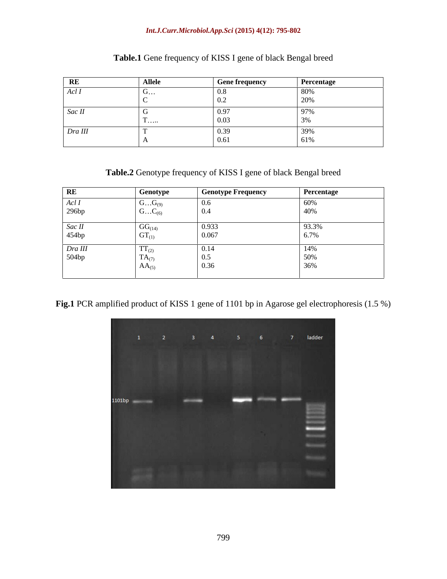### *Int.J.Curr.Microbiol.App.Sci* **(2015) 4(12): 795-802**

|         | <b>Allele</b> | $\Gamma$ and fractionary | Percentage |
|---------|---------------|--------------------------|------------|
| Acl 1   |               |                          |            |
|         |               |                          |            |
| Sac II  |               |                          |            |
|         |               |                          |            |
| Dra III |               |                          |            |
|         |               |                          |            |

# **Table.1** Gene frequency of KISS I gene of black Bengal breed

**Table.2** Genotype frequency of KISS I gene of black Bengal breed

| RE       | Genotype                        | <b>Genotype Frequency</b> | Percentage   |
|----------|---------------------------------|---------------------------|--------------|
| AclI     | $GG_{(9)}$                      |                           | $\sqrt{200}$ |
| 296bp    | $GC_{(6)}$                      |                           |              |
| Sac II   | $GG_{(14)}$                     | 0.933                     | 93.3%        |
| $454$ bp | U1(1)                           | $\cdots$                  |              |
| Dra III  | $\mathbf{I}$ $\mathbf{I}$ $(2)$ |                           |              |
| 504bp    | — .<br>$(A_{(7)}$               |                           |              |
|          | $AA_{(5)}$                      | <b>0.50</b>               |              |
|          |                                 |                           |              |

Fig.1 PCR amplified product of KISS 1 gene of 1101 bp in Agarose gel electrophoresis (1.5 %)

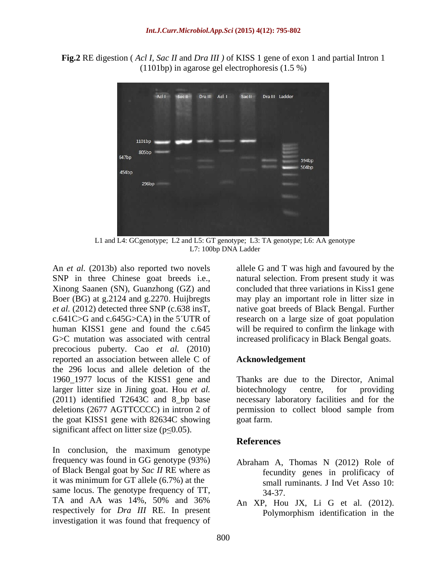**Fig.2** RE digestion ( *Acl I, Sac II* and *Dra III )* of KISS 1 gene of exon 1 and partial Intron 1 (1101bp) in agarose gel electrophoresis (1.5 %)



L1 and L4: GCgenotype; L2 and L5: GT genotype; L3: TA genotype; L6: AA genotype L7: 100bp DNA Ladder

An *et al.* (2013b) also reported two novels allele G and T was high and favoured by the SNP in three Chinese goat breeds i.e., natural selection. From present study it was Xinong Saanen (SN), Guanzhong (GZ) and concluded that three variations in Kiss1 gene Boer (BG) at g.2124 and g.2270. Huijbregts may play an important role in litter size in *et al.* (2012) detected three SNP (c.638 insT, native goat breeds of Black Bengal. Further c.641C>G and c.645G>CA) in the 5 UTR of research on a large size of goat population human KISS1 gene and found the c.645 will be required to confirm the linkage with G $\gt C$  mutation was associated with central increased prolificacy in Black Bengal goats. precocious puberty. Cao *et al.* (2010) reported an association between allele C of the 296 locus and allele deletion of the 1960\_1977 locus of the KISS1 gene and larger litter size in Jining goat. Hou *et al.* biotechnology centre, for providing (2011) identified T2643C and 8\_bp base necessary laboratory facilities and for the deletions (2677 AGTTCCCC) in intron 2 of permission to collect blood sample from the goat KISS1 gene with 82634C showing significant affect on litter size ( $p \le 0.05$ ).

In conclusion, the maximum genotype frequency was found in GG genotype (93%) of Black Bengal goat by *Sac II* RE where as it was minimum for GT allele (6.7%) at the same locus. The genotype frequency of TT,  $\frac{34-37}{2}$ TA and AA was  $14\%$ , 50% and 36% and  $X<sub>p</sub>$  Hou IX Li G et al. (2012) respectively for *Dra III* RE. In present Polymorphism identification in the investigation it was found that frequency of

### **Acknowledgement**

Thanks are due to the Director, Animal biotechnology centre, for providing goat farm.

## **References**

- Abraham A, Thomas N (2012) Role of fecundity genes in prolificacy of small ruminants. J Ind Vet Asso 10: 34-37.
- An XP, Hou JX, Li G et al. (2012). Polymorphism identification in the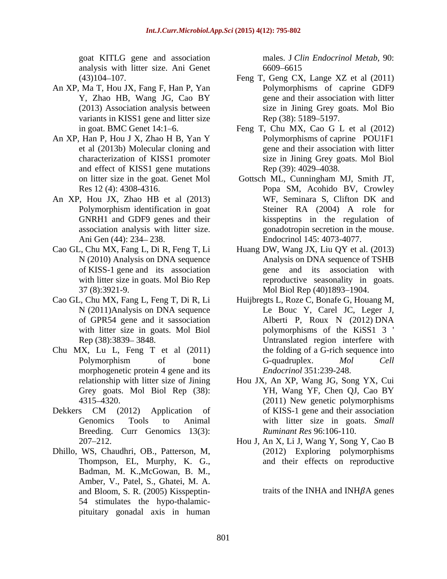goat KITLG gene and association analysis with litter size. Ani Genet

- An XP, Ma T, Hou JX, Fang F, Han P, Yan variants in KISS1 gene and litter size Rep (38): 5189–5197.
- An XP, Han P, Hou J X, Zhao H B, Yan Y and effect of KISS1 gene mutations Rep (39): 4029–4038.
- GNRH1 and GDF9 genes and their
- 
- 
- Chu MX, Lu L, Feng T et al (2011) morphogenetic protein 4 gene and its
- Breeding. Curr Genomics 13(3):
- Dhillo, WS, Chaudhri, OB., Patterson, M, Badman, M. K.,McGowan, B. M., Amber, V., Patel, S., Ghatei, M. A. and Bloom, S. R. (2005) Kisspeptin- 54 stimulates the hypo-thalamic pituitary gonadal axis in human

males. J *Clin Endocrinol Metab*, 90: 6609–6615

- (43)104 107. Feng T, Geng CX, Lange XZ et al (2011) Y, Zhao HB, Wang JG, Cao BY gene and their association with litter (2013) Association analysis between size in Jining Grey goats. Mol Bio Polymorphisms of caprine GDF9 gene and their association with litter Rep (38): 5189–5197.
- in goat. BMC Genet 14:1 6. Feng T, Chu MX, Cao G L et al (2012) et al (2013b) Molecular cloning and gene and their association with litter characterization of KISS1 promoter size in Jining Grey goats. Mol Biol Polymorphisms of caprine POU1F1 Rep (39): 4029–4038.
- on litter size in the goat. Genet Mol Gottsch ML, Cunningham MJ, Smith JT, Res 12 (4): 4308-4316. Popa SM, Acohido BV, Crowley An XP, Hou JX, Zhao HB et al (2013) WF, Seminara S, Clifton DK and Polymorphism identification in goat 5teiner RA (2004) A role for association analysis with litter size. <br>gonadotropin secretion in the mouse. Ani Gen (44): 234 238. Endocrinol 145: 4073-4077. WF, Seminara S, Clifton DK and Steiner RA (2004) A role for kisspeptins in the regulation of
- Cao GL, Chu MX, Fang L, Di R, Feng T, Li Huang DW, Wang JX, Liu QY et al. (2013) N (2010) Analysis on DNA sequence Analysis on DNA sequence of TSHB of KISS-1 gene and its association gene and its association with with litter size in goats. Mol Bio Rep reproductive seasonality in goats. 37 (8):3921-9. Mol Biol Rep (40)1893 1904.
- Cao GL, Chu MX, Fang L, Feng T, Di R, Li Huijbregts L, Roze C, Bonafe G, Houang M, N (2011)Analysis on DNA sequence Le Bouc Y, Carel JC, Leger J, of GPR54 gene and it sassociation with litter size in goats. Mol Biol by polymorphisms of the KiSS1 3 ' Rep (38):3839–3848. Communicated region interfere with Polymorphism of bone G-quadruplex. Mol Cell Le Bouc Y, Carel JC, Leger J, Alberti P, Roux N (2012) DNA the folding of a G-rich sequence into G-quadruplex. *Mol Cell Endocrinol* 351:239-248.
- relationship with litter size of Jining Hou JX, An XP, Wang JG, Song YX, Cui Grey goats. Mol Biol Rep (38): YH, Wang YF, Chen QJ, Cao BY 4315–4320. (2011) New genetic polymorphisms Dekkers CM (2012) Application of of KISS-1 gene and their association Genomics Tools to Animal with litter size in goats. *Small* YH, Wang YF, Chen QJ, Cao BY (2011) New genetic polymorphisms of KISS-1 gene and their association *Ruminant Res* 96:106-110.
	- 207 212. Hou J, An X, Li J, Wang Y, Song Y, Cao B Thompson, EL, Murphy, K. G., and their effects on reproductive (2012) Exploring polymorphisms

traits of the INHA and INH $\beta$ A genes